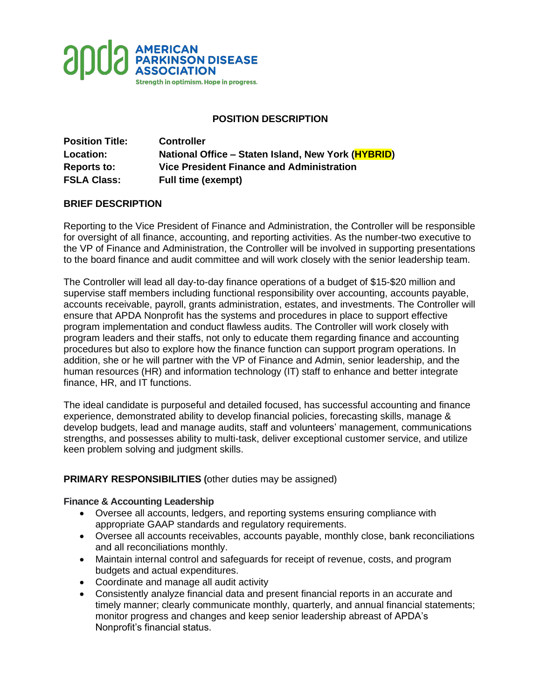

# **POSITION DESCRIPTION**

| <b>Position Title:</b> | <b>Controller</b>                                  |
|------------------------|----------------------------------------------------|
| Location:              | National Office - Staten Island, New York (HYBRID) |
| <b>Reports to:</b>     | <b>Vice President Finance and Administration</b>   |
| <b>FSLA Class:</b>     | <b>Full time (exempt)</b>                          |

# **BRIEF DESCRIPTION**

Reporting to the Vice President of Finance and Administration, the Controller will be responsible for oversight of all finance, accounting, and reporting activities. As the number-two executive to the VP of Finance and Administration, the Controller will be involved in supporting presentations to the board finance and audit committee and will work closely with the senior leadership team.

The Controller will lead all day-to-day finance operations of a budget of \$15-\$20 million and supervise staff members including functional responsibility over accounting, accounts payable, accounts receivable, payroll, grants administration, estates, and investments. The Controller will ensure that APDA Nonprofit has the systems and procedures in place to support effective program implementation and conduct flawless audits. The Controller will work closely with program leaders and their staffs, not only to educate them regarding finance and accounting procedures but also to explore how the finance function can support program operations. In addition, she or he will partner with the VP of Finance and Admin, senior leadership, and the human resources (HR) and information technology (IT) staff to enhance and better integrate finance, HR, and IT functions.

The ideal candidate is purposeful and detailed focused, has successful accounting and finance experience, demonstrated ability to develop financial policies, forecasting skills, manage & develop budgets, lead and manage audits, staff and volunteers' management, communications strengths, and possesses ability to multi-task, deliver exceptional customer service, and utilize keen problem solving and judgment skills.

#### **PRIMARY RESPONSIBILITIES (**other duties may be assigned)

#### **Finance & Accounting Leadership**

- Oversee all accounts, ledgers, and reporting systems ensuring compliance with appropriate GAAP standards and regulatory requirements.
- Oversee all accounts receivables, accounts payable, monthly close, bank reconciliations and all reconciliations monthly.
- Maintain internal control and safeguards for receipt of revenue, costs, and program budgets and actual expenditures.
- Coordinate and manage all audit activity
- Consistently analyze financial data and present financial reports in an accurate and timely manner; clearly communicate monthly, quarterly, and annual financial statements; monitor progress and changes and keep senior leadership abreast of APDA's Nonprofit's financial status.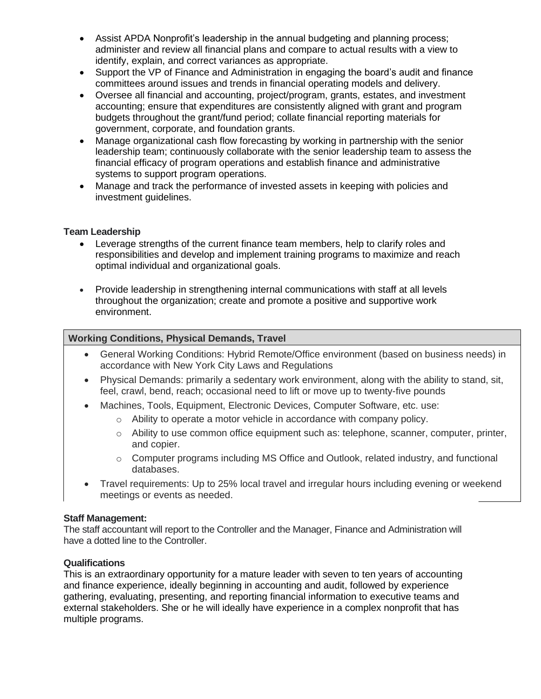- Assist APDA Nonprofit's leadership in the annual budgeting and planning process; administer and review all financial plans and compare to actual results with a view to identify, explain, and correct variances as appropriate.
- Support the VP of Finance and Administration in engaging the board's audit and finance committees around issues and trends in financial operating models and delivery.
- Oversee all financial and accounting, project/program, grants, estates, and investment accounting; ensure that expenditures are consistently aligned with grant and program budgets throughout the grant/fund period; collate financial reporting materials for government, corporate, and foundation grants.
- Manage organizational cash flow forecasting by working in partnership with the senior leadership team; continuously collaborate with the senior leadership team to assess the financial efficacy of program operations and establish finance and administrative systems to support program operations.
- Manage and track the performance of invested assets in keeping with policies and investment guidelines.

### **Team Leadership**

- Leverage strengths of the current finance team members, help to clarify roles and responsibilities and develop and implement training programs to maximize and reach optimal individual and organizational goals.
- Provide leadership in strengthening internal communications with staff at all levels throughout the organization; create and promote a positive and supportive work environment.

### **Working Conditions, Physical Demands, Travel**

- General Working Conditions: Hybrid Remote/Office environment (based on business needs) in accordance with New York City Laws and Regulations
- Physical Demands: primarily a sedentary work environment, along with the ability to stand, sit, feel, crawl, bend, reach; occasional need to lift or move up to twenty-five pounds
- Machines, Tools, Equipment, Electronic Devices, Computer Software, etc. use:
	- o Ability to operate a motor vehicle in accordance with company policy.
	- $\circ$  Ability to use common office equipment such as: telephone, scanner, computer, printer, and copier.
	- o Computer programs including MS Office and Outlook, related industry, and functional databases.
- Travel requirements: Up to 25% local travel and irregular hours including evening or weekend meetings or events as needed.

#### **Staff Management:**

The staff accountant will report to the Controller and the Manager, Finance and Administration will have a dotted line to the Controller.

#### **Qualifications**

This is an extraordinary opportunity for a mature leader with seven to ten years of accounting and finance experience, ideally beginning in accounting and audit, followed by experience gathering, evaluating, presenting, and reporting financial information to executive teams and external stakeholders. She or he will ideally have experience in a complex nonprofit that has multiple programs.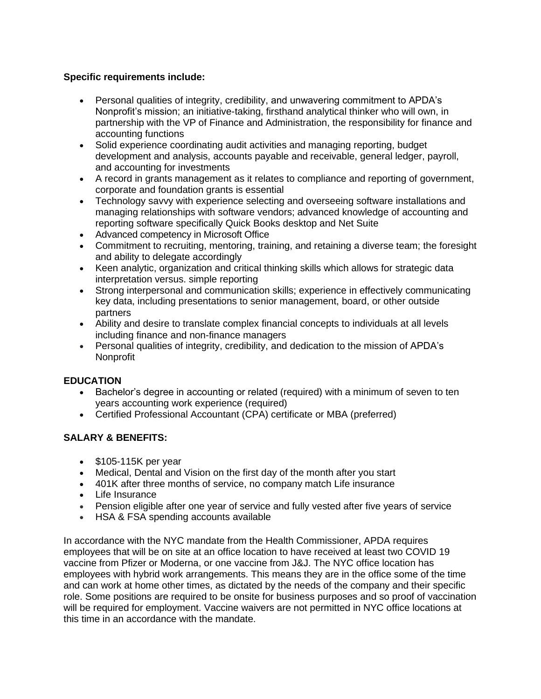# **Specific requirements include:**

- Personal qualities of integrity, credibility, and unwavering commitment to APDA's Nonprofit's mission; an initiative-taking, firsthand analytical thinker who will own, in partnership with the VP of Finance and Administration, the responsibility for finance and accounting functions
- Solid experience coordinating audit activities and managing reporting, budget development and analysis, accounts payable and receivable, general ledger, payroll, and accounting for investments
- A record in grants management as it relates to compliance and reporting of government, corporate and foundation grants is essential
- Technology savvy with experience selecting and overseeing software installations and managing relationships with software vendors; advanced knowledge of accounting and reporting software specifically Quick Books desktop and Net Suite
- Advanced competency in Microsoft Office
- Commitment to recruiting, mentoring, training, and retaining a diverse team; the foresight and ability to delegate accordingly
- Keen analytic, organization and critical thinking skills which allows for strategic data interpretation versus. simple reporting
- Strong interpersonal and communication skills; experience in effectively communicating key data, including presentations to senior management, board, or other outside partners
- Ability and desire to translate complex financial concepts to individuals at all levels including finance and non-finance managers
- Personal qualities of integrity, credibility, and dedication to the mission of APDA's Nonprofit

# **EDUCATION**

- Bachelor's degree in accounting or related (required) with a minimum of seven to ten years accounting work experience (required)
- Certified Professional Accountant (CPA) certificate or MBA (preferred)

# **SALARY & BENEFITS:**

- \$105-115K per year
- Medical, Dental and Vision on the first day of the month after you start
- 401K after three months of service, no company match Life insurance
- Life Insurance
- Pension eligible after one year of service and fully vested after five years of service
- HSA & FSA spending accounts available

In accordance with the NYC mandate from the Health Commissioner, APDA requires employees that will be on site at an office location to have received at least two COVID 19 vaccine from Pfizer or Moderna, or one vaccine from J&J. The NYC office location has employees with hybrid work arrangements. This means they are in the office some of the time and can work at home other times, as dictated by the needs of the company and their specific role. Some positions are required to be onsite for business purposes and so proof of vaccination will be required for employment. Vaccine waivers are not permitted in NYC office locations at this time in an accordance with the mandate.